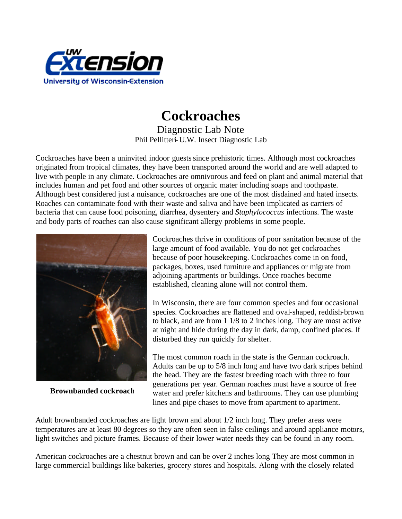

## **Cockroaches**

Diagnostic Lab Note Phil Pellitteri-U.W. Insect Diagnostic Lab

Cockroaches have been a uninvited indoor guests since prehistoric times. Although most cockroaches originated from tropical climates, they have been transported around the world and are well adapted to live with people in any climate. Cockroaches are omnivorous and feed on plant and animal material that includes human and pet food and other sources of organic mater including soaps and toothpaste. Although best considered just a nuisance, cockroaches are one of the most disdained and hated insects. Roaches can contaminate food with their waste and saliva and have been implicated as carriers of bacteria that can cause food poisoning, diarrhea, dysentery and *Staphylococcus* infections. The waste and body parts of roaches can also cause significant allergy problems in some people.



**Brownbanded cockroach**

Cockroaches thrive in conditions of poor sanitation because of the large amount of food available. You do not get cockroaches because of poor housekeeping. Cockroaches come in on food, packages, boxes, used furniture and appliances or migrate from adjoining apartments or buildings. Once roaches become established, cleaning alone will not control them.

In Wisconsin, there are four common species and four occasional species. Cockroaches are flattened and oval-shaped, reddish-brown to black, and are from 1 1/8 to 2 inches long. They are most active at night and hide during the day in dark, damp, confined places. If disturbed they run quickly for shelter.

The most common roach in the state is the German cockroach. Adults can be up to 5/8 inch long and have two dark stripes behind the head. They are the fastest breeding roach with three to four generations per year. German roaches must have a source of free water and prefer kitchens and bathrooms. They can use plumbing lines and pipe chases to move from apartment to apartment.

Adult brownbanded cockroaches are light brown and about 1/2 inch long. They prefer areas were temperatures are at least 80 degrees so they are often seen in false ceilings and around appliance motors, light switches and picture frames. Because of their lower water needs they can be found in any room.

American cockroaches are a chestnut brown and can be over 2 inches long They are most common in large commercial buildings like bakeries, grocery stores and hospitals. Along with the closely related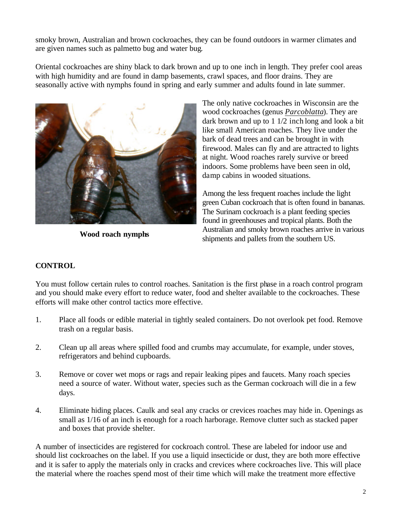smoky brown, Australian and brown cockroaches, they can be found outdoors in warmer climates and are given names such as palmetto bug and water bug.

Oriental cockroaches are shiny black to dark brown and up to one inch in length. They prefer cool areas with high humidity and are found in damp basements, crawl spaces, and floor drains. They are seasonally active with nymphs found in spring and early summer and adults found in late summer.



**Wood roach nymphs**

The only native cockroaches in Wisconsin are the wood cockroaches (genus *Parcoblatta*). They are dark brown and up to 1 1/2 inch long and look a bit like small American roaches. They live under the bark of dead trees and can be brought in with firewood. Males can fly and are attracted to lights at night. Wood roaches rarely survive or breed indoors. Some problems have been seen in old, damp cabins in wooded situations.

Among the less frequent roaches include the light green Cuban cockroach that is often found in bananas. The Surinam cockroach is a plant feeding species found in greenhouses and tropical plants. Both the Australian and smoky brown roaches arrive in various shipments and pallets from the southern US.

## **CONTROL**

You must follow certain rules to control roaches. Sanitation is the first phase in a roach control program and you should make every effort to reduce water, food and shelter available to the cockroaches. These efforts will make other control tactics more effective.

- 1. Place all foods or edible material in tightly sealed containers. Do not overlook pet food. Remove trash on a regular basis.
- 2. Clean up all areas where spilled food and crumbs may accumulate, for example, under stoves, refrigerators and behind cupboards.
- 3. Remove or cover wet mops or rags and repair leaking pipes and faucets. Many roach species need a source of water. Without water, species such as the German cockroach will die in a few days.
- 4. Eliminate hiding places. Caulk and seal any cracks or crevices roaches may hide in. Openings as small as 1/16 of an inch is enough for a roach harborage. Remove clutter such as stacked paper and boxes that provide shelter.

A number of insecticides are registered for cockroach control. These are labeled for indoor use and should list cockroaches on the label. If you use a liquid insecticide or dust, they are both more effective and it is safer to apply the materials only in cracks and crevices where cockroaches live. This will place the material where the roaches spend most of their time which will make the treatment more effective